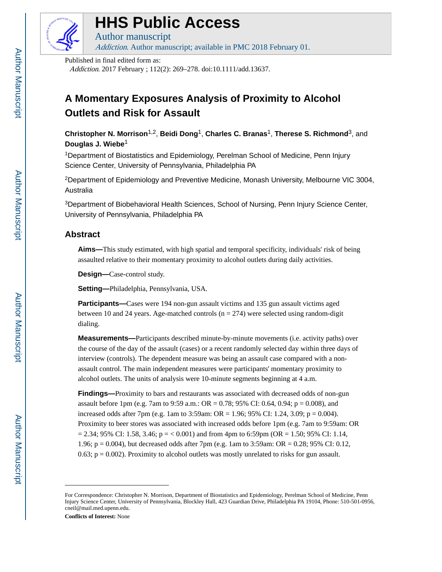

# **HHS Public Access**

Author manuscript Addiction. Author manuscript; available in PMC 2018 February 01.

Published in final edited form as:

Addiction. 2017 February ; 112(2): 269–278. doi:10.1111/add.13637.

## **A Momentary Exposures Analysis of Proximity to Alcohol Outlets and Risk for Assault**

**Christopher N. Morrison**1,2, **Beidi Dong**1, **Charles C. Branas**1, **Therese S. Richmond**3, and **Douglas J. Wiebe**<sup>1</sup>

<sup>1</sup>Department of Biostatistics and Epidemiology, Perelman School of Medicine, Penn Injury Science Center, University of Pennsylvania, Philadelphia PA

<sup>2</sup>Department of Epidemiology and Preventive Medicine, Monash University, Melbourne VIC 3004, Australia

<sup>3</sup>Department of Biobehavioral Health Sciences, School of Nursing, Penn Injury Science Center, University of Pennsylvania, Philadelphia PA

## **Abstract**

**Aims—**This study estimated, with high spatial and temporal specificity, individuals' risk of being assaulted relative to their momentary proximity to alcohol outlets during daily activities.

**Design—**Case-control study.

**Setting—**Philadelphia, Pennsylvania, USA.

**Participants—Cases were 194 non-gun assault victims and 135 gun assault victims aged** between 10 and 24 years. Age-matched controls ( $n = 274$ ) were selected using random-digit dialing.

**Measurements—**Participants described minute-by-minute movements (i.e. activity paths) over the course of the day of the assault (cases) or a recent randomly selected day within three days of interview (controls). The dependent measure was being an assault case compared with a nonassault control. The main independent measures were participants' momentary proximity to alcohol outlets. The units of analysis were 10-minute segments beginning at 4 a.m.

**Findings—**Proximity to bars and restaurants was associated with decreased odds of non-gun assault before 1pm (e.g. 7am to 9:59 a.m.: OR = 0.78; 95% CI: 0.64, 0.94; p = 0.008), and increased odds after 7pm (e.g. 1am to 3:59am: OR = 1.96; 95% CI: 1.24, 3.09; p = 0.004). Proximity to beer stores was associated with increased odds before 1pm (e.g. 7am to 9:59am: OR  $= 2.34$ ; 95% CI: 1.58, 3.46; p = < 0.001) and from 4pm to 6:59pm (OR = 1.50; 95% CI: 1.14, 1.96; p = 0.004), but decreased odds after 7pm (e.g. 1am to 3:59am: OR = 0.28; 95% CI: 0.12, 0.63;  $p = 0.002$ ). Proximity to alcohol outlets was mostly unrelated to risks for gun assault.

**Conflicts of Interest:** None

For Correspondence: Christopher N. Morrison, Department of Biostatistics and Epidemiology, Perelman School of Medicine, Penn Injury Science Center, University of Pennsylvania, Blockley Hall, 423 Guardian Drive, Philadelphia PA 19104, Phone: 510-501-0956, cneil@mail.med.upenn.edu.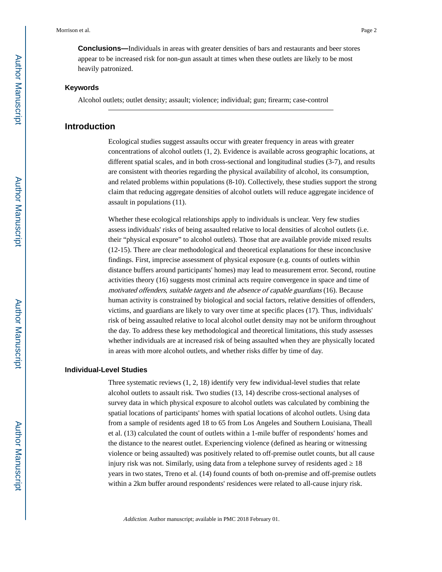**Conclusions—**Individuals in areas with greater densities of bars and restaurants and beer stores appear to be increased risk for non-gun assault at times when these outlets are likely to be most heavily patronized.

#### **Keywords**

Alcohol outlets; outlet density; assault; violence; individual; gun; firearm; case-control

#### **Introduction**

Ecological studies suggest assaults occur with greater frequency in areas with greater concentrations of alcohol outlets (1, 2). Evidence is available across geographic locations, at different spatial scales, and in both cross-sectional and longitudinal studies (3-7), and results are consistent with theories regarding the physical availability of alcohol, its consumption, and related problems within populations (8-10). Collectively, these studies support the strong claim that reducing aggregate densities of alcohol outlets will reduce aggregate incidence of assault in populations (11).

Whether these ecological relationships apply to individuals is unclear. Very few studies assess individuals' risks of being assaulted relative to local densities of alcohol outlets (i.e. their "physical exposure" to alcohol outlets). Those that are available provide mixed results (12-15). There are clear methodological and theoretical explanations for these inconclusive findings. First, imprecise assessment of physical exposure (e.g. counts of outlets within distance buffers around participants' homes) may lead to measurement error. Second, routine activities theory (16) suggests most criminal acts require convergence in space and time of motivated offenders, suitable targets and the absence of capable guardians (16). Because human activity is constrained by biological and social factors, relative densities of offenders, victims, and guardians are likely to vary over time at specific places (17). Thus, individuals' risk of being assaulted relative to local alcohol outlet density may not be uniform throughout the day. To address these key methodological and theoretical limitations, this study assesses whether individuals are at increased risk of being assaulted when they are physically located in areas with more alcohol outlets, and whether risks differ by time of day.

#### **Individual-Level Studies**

Three systematic reviews (1, 2, 18) identify very few individual-level studies that relate alcohol outlets to assault risk. Two studies (13, 14) describe cross-sectional analyses of survey data in which physical exposure to alcohol outlets was calculated by combining the spatial locations of participants' homes with spatial locations of alcohol outlets. Using data from a sample of residents aged 18 to 65 from Los Angeles and Southern Louisiana, Theall et al. (13) calculated the count of outlets within a 1-mile buffer of respondents' homes and the distance to the nearest outlet. Experiencing violence (defined as hearing or witnessing violence or being assaulted) was positively related to off-premise outlet counts, but all cause injury risk was not. Similarly, using data from a telephone survey of residents aged 18 years in two states, Treno et al. (14) found counts of both on-premise and off-premise outlets within a 2km buffer around respondents' residences were related to all-cause injury risk.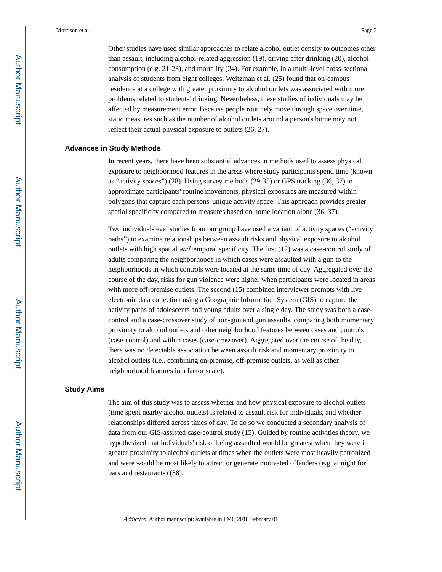Other studies have used similar approaches to relate alcohol outlet density to outcomes other than assault, including alcohol-related aggression (19), driving after drinking (20), alcohol consumption (e.g. 21-23), and mortality (24). For example, in a multi-level cross-sectional analysis of students from eight colleges, Weitzman et al. (25) found that on-campus residence at a college with greater proximity to alcohol outlets was associated with more problems related to students' drinking. Nevertheless, these studies of individuals may be affected by measurement error. Because people routinely move through space over time, static measures such as the number of alcohol outlets around a person's home may not reflect their actual physical exposure to outlets (26, 27).

#### **Advances in Study Methods**

In recent years, there have been substantial advances in methods used to assess physical exposure to neighborhood features in the areas where study participants spend time (known as "activity spaces") (28). Using survey methods (29-35) or GPS tracking (36, 37) to approximate participants' routine movements, physical exposures are measured within polygons that capture each persons' unique activity space. This approach provides greater spatial specificity compared to measures based on home location alone (36, 37).

Two individual-level studies from our group have used a variant of activity spaces ("activity paths") to examine relationships between assault risks and physical exposure to alcohol outlets with high spatial and temporal specificity. The first (12) was a case-control study of adults comparing the neighborhoods in which cases were assaulted with a gun to the neighborhoods in which controls were located at the same time of day. Aggregated over the course of the day, risks for gun violence were higher when participants were located in areas with more off-premise outlets. The second (15) combined interviewer prompts with live electronic data collection using a Geographic Information System (GIS) to capture the activity paths of adolescents and young adults over a single day. The study was both a casecontrol and a case-crossover study of non-gun and gun assaults, comparing both momentary proximity to alcohol outlets and other neighborhood features between cases and controls (case-control) and within cases (case-crossover). Aggregated over the course of the day, there was no detectable association between assault risk and momentary proximity to alcohol outlets (i.e., combining on-premise, off-premise outlets, as well as other neighborhood features in a factor scale).

#### **Study Aims**

The aim of this study was to assess whether and how physical exposure to alcohol outlets (time spent nearby alcohol outlets) is related to assault risk for individuals, and whether relationships differed across times of day. To do so we conducted a secondary analysis of data from our GIS-assisted case-control study (15). Guided by routine activities theory, we hypothesized that individuals' risk of being assaulted would be greatest when they were in greater proximity to alcohol outlets at times when the outlets were most heavily patronized and were would be most likely to attract or generate motivated offenders (e.g. at night for bars and restaurants) (38).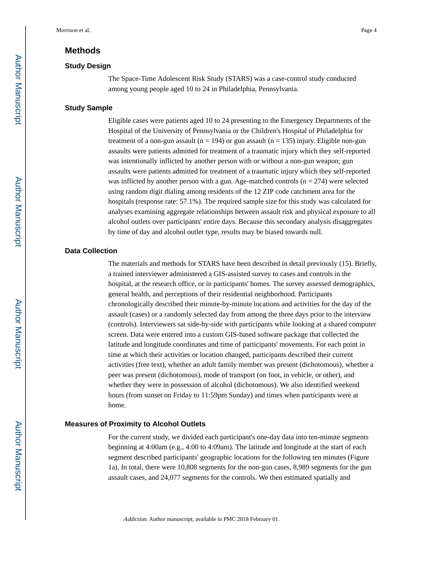#### **Methods**

#### **Study Design**

The Space-Time Adolescent Risk Study (STARS) was a case-control study conducted among young people aged 10 to 24 in Philadelphia, Pennsylvania.

#### **Study Sample**

Eligible cases were patients aged 10 to 24 presenting to the Emergency Departments of the Hospital of the University of Pennsylvania or the Children's Hospital of Philadelphia for treatment of a non-gun assault ( $n = 194$ ) or gun assault ( $n = 135$ ) injury. Eligible non-gun assaults were patients admitted for treatment of a traumatic injury which they self-reported was intentionally inflicted by another person with or without a non-gun weapon; gun assaults were patients admitted for treatment of a traumatic injury which they self-reported was inflicted by another person with a gun. Age-matched controls  $(n = 274)$  were selected using random digit dialing among residents of the 12 ZIP code catchment area for the hospitals (response rate: 57.1%). The required sample size for this study was calculated for analyses examining aggregate relationships between assault risk and physical exposure to all alcohol outlets over participants' entire days. Because this secondary analysis disaggregates by time of day and alcohol outlet type, results may be biased towards null.

#### **Data Collection**

The materials and methods for STARS have been described in detail previously (15). Briefly, a trained interviewer administered a GIS-assisted survey to cases and controls in the hospital, at the research office, or in participants' homes. The survey assessed demographics, general health, and perceptions of their residential neighborhood. Participants chronologically described their minute-by-minute locations and activities for the day of the assault (cases) or a randomly selected day from among the three days prior to the interview (controls). Interviewers sat side-by-side with participants while looking at a shared computer screen. Data were entered into a custom GIS-based software package that collected the latitude and longitude coordinates and time of participants' movements. For each point in time at which their activities or location changed, participants described their current activities (free text), whether an adult family member was present (dichotomous), whether a peer was present (dichotomous), mode of transport (on foot, in vehicle, or other), and whether they were in possession of alcohol (dichotomous). We also identified weekend hours (from sunset on Friday to 11:59pm Sunday) and times when participants were at home.

#### **Measures of Proximity to Alcohol Outlets**

For the current study, we divided each participant's one-day data into ten-minute segments beginning at 4:00am (e.g., 4:00 to 4:09am). The latitude and longitude at the start of each segment described participants' geographic locations for the following ten minutes (Figure 1a). In total, there were 10,808 segments for the non-gun cases, 8,989 segments for the gun assault cases, and 24,077 segments for the controls. We then estimated spatially and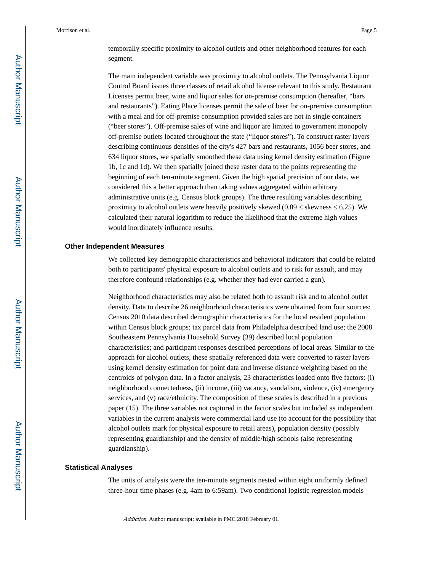The main independent variable was proximity to alcohol outlets. The Pennsylvania Liquor Control Board issues three classes of retail alcohol license relevant to this study. Restaurant Licenses permit beer, wine and liquor sales for on-premise consumption (hereafter, "bars and restaurants"). Eating Place licenses permit the sale of beer for on-premise consumption with a meal and for off-premise consumption provided sales are not in single containers ("beer stores"). Off-premise sales of wine and liquor are limited to government monopoly off-premise outlets located throughout the state ("liquor stores"). To construct raster layers describing continuous densities of the city's 427 bars and restaurants, 1056 beer stores, and 634 liquor stores, we spatially smoothed these data using kernel density estimation (Figure 1b, 1c and 1d). We then spatially joined these raster data to the points representing the beginning of each ten-minute segment. Given the high spatial precision of our data, we considered this a better approach than taking values aggregated within arbitrary administrative units (e.g. Census block groups). The three resulting variables describing proximity to alcohol outlets were heavily positively skewed  $(0.89 \times 6.25)$ . We calculated their natural logarithm to reduce the likelihood that the extreme high values would inordinately influence results.

#### **Other Independent Measures**

We collected key demographic characteristics and behavioral indicators that could be related both to participants' physical exposure to alcohol outlets and to risk for assault, and may therefore confound relationships (e.g. whether they had ever carried a gun).

Neighborhood characteristics may also be related both to assault risk and to alcohol outlet density. Data to describe 26 neighborhood characteristics were obtained from four sources: Census 2010 data described demographic characteristics for the local resident population within Census block groups; tax parcel data from Philadelphia described land use; the 2008 Southeastern Pennsylvania Household Survey (39) described local population characteristics; and participant responses described perceptions of local areas. Similar to the approach for alcohol outlets, these spatially referenced data were converted to raster layers using kernel density estimation for point data and inverse distance weighting based on the centroids of polygon data. In a factor analysis, 23 characteristics loaded onto five factors: (i) neighborhood connectedness, (ii) income, (iii) vacancy, vandalism, violence, (iv) emergency services, and (v) race/ethnicity. The composition of these scales is described in a previous paper (15). The three variables not captured in the factor scales but included as independent variables in the current analysis were commercial land use (to account for the possibility that alcohol outlets mark for physical exposure to retail areas), population density (possibly representing guardianship) and the density of middle/high schools (also representing guardianship).

#### **Statistical Analyses**

The units of analysis were the ten-minute segments nested within eight uniformly defined three-hour time phases (e.g. 4am to 6:59am). Two conditional logistic regression models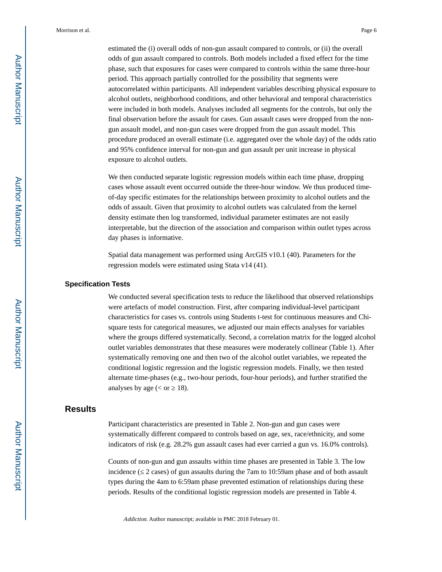estimated the (i) overall odds of non-gun assault compared to controls, or (ii) the overall odds of gun assault compared to controls. Both models included a fixed effect for the time phase, such that exposures for cases were compared to controls within the same three-hour period. This approach partially controlled for the possibility that segments were autocorrelated within participants. All independent variables describing physical exposure to alcohol outlets, neighborhood conditions, and other behavioral and temporal characteristics were included in both models. Analyses included all segments for the controls, but only the final observation before the assault for cases. Gun assault cases were dropped from the nongun assault model, and non-gun cases were dropped from the gun assault model. This procedure produced an overall estimate (i.e. aggregated over the whole day) of the odds ratio and 95% confidence interval for non-gun and gun assault per unit increase in physical exposure to alcohol outlets.

We then conducted separate logistic regression models within each time phase, dropping cases whose assault event occurred outside the three-hour window. We thus produced timeof-day specific estimates for the relationships between proximity to alcohol outlets and the odds of assault. Given that proximity to alcohol outlets was calculated from the kernel density estimate then log transformed, individual parameter estimates are not easily interpretable, but the direction of the association and comparison within outlet types across day phases is informative.

Spatial data management was performed using ArcGIS v10.1 (40). Parameters for the regression models were estimated using Stata v14 (41).

#### **Specification Tests**

We conducted several specification tests to reduce the likelihood that observed relationships were artefacts of model construction. First, after comparing individual-level participant characteristics for cases vs. controls using Students t-test for continuous measures and Chisquare tests for categorical measures, we adjusted our main effects analyses for variables where the groups differed systematically. Second, a correlation matrix for the logged alcohol outlet variables demonstrates that these measures were moderately collinear (Table 1). After systematically removing one and then two of the alcohol outlet variables, we repeated the conditional logistic regression and the logistic regression models. Finally, we then tested alternate time-phases (e.g., two-hour periods, four-hour periods), and further stratified the analyses by age  $(< or 18)$ .

### **Results**

Participant characteristics are presented in Table 2. Non-gun and gun cases were systematically different compared to controls based on age, sex, race/ethnicity, and some indicators of risk (e.g. 28.2% gun assault cases had ever carried a gun vs. 16.0% controls).

Counts of non-gun and gun assaults within time phases are presented in Table 3. The low incidence (2 cases) of gun assaults during the 7am to 10:59am phase and of both assault types during the 4am to 6:59am phase prevented estimation of relationships during these periods. Results of the conditional logistic regression models are presented in Table 4.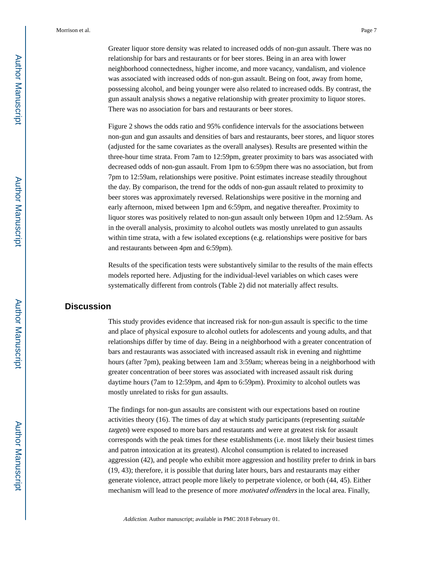Greater liquor store density was related to increased odds of non-gun assault. There was no relationship for bars and restaurants or for beer stores. Being in an area with lower neighborhood connectedness, higher income, and more vacancy, vandalism, and violence was associated with increased odds of non-gun assault. Being on foot, away from home, possessing alcohol, and being younger were also related to increased odds. By contrast, the gun assault analysis shows a negative relationship with greater proximity to liquor stores. There was no association for bars and restaurants or beer stores.

Figure 2 shows the odds ratio and 95% confidence intervals for the associations between non-gun and gun assaults and densities of bars and restaurants, beer stores, and liquor stores (adjusted for the same covariates as the overall analyses). Results are presented within the three-hour time strata. From 7am to 12:59pm, greater proximity to bars was associated with decreased odds of non-gun assault. From 1pm to 6:59pm there was no association, but from 7pm to 12:59am, relationships were positive. Point estimates increase steadily throughout the day. By comparison, the trend for the odds of non-gun assault related to proximity to beer stores was approximately reversed. Relationships were positive in the morning and early afternoon, mixed between 1pm and 6:59pm, and negative thereafter. Proximity to liquor stores was positively related to non-gun assault only between 10pm and 12:59am. As in the overall analysis, proximity to alcohol outlets was mostly unrelated to gun assaults within time strata, with a few isolated exceptions (e.g. relationships were positive for bars and restaurants between 4pm and 6:59pm).

Results of the specification tests were substantively similar to the results of the main effects models reported here. Adjusting for the individual-level variables on which cases were systematically different from controls (Table 2) did not materially affect results.

## **Discussion**

This study provides evidence that increased risk for non-gun assault is specific to the time and place of physical exposure to alcohol outlets for adolescents and young adults, and that relationships differ by time of day. Being in a neighborhood with a greater concentration of bars and restaurants was associated with increased assault risk in evening and nighttime hours (after 7pm), peaking between 1am and 3:59am; whereas being in a neighborhood with greater concentration of beer stores was associated with increased assault risk during daytime hours (7am to 12:59pm, and 4pm to 6:59pm). Proximity to alcohol outlets was mostly unrelated to risks for gun assaults.

The findings for non-gun assaults are consistent with our expectations based on routine activities theory (16). The times of day at which study participants (representing suitable targets) were exposed to more bars and restaurants and were at greatest risk for assault corresponds with the peak times for these establishments (i.e. most likely their busiest times and patron intoxication at its greatest). Alcohol consumption is related to increased aggression (42), and people who exhibit more aggression and hostility prefer to drink in bars (19, 43); therefore, it is possible that during later hours, bars and restaurants may either generate violence, attract people more likely to perpetrate violence, or both (44, 45). Either mechanism will lead to the presence of more *motivated offenders* in the local area. Finally,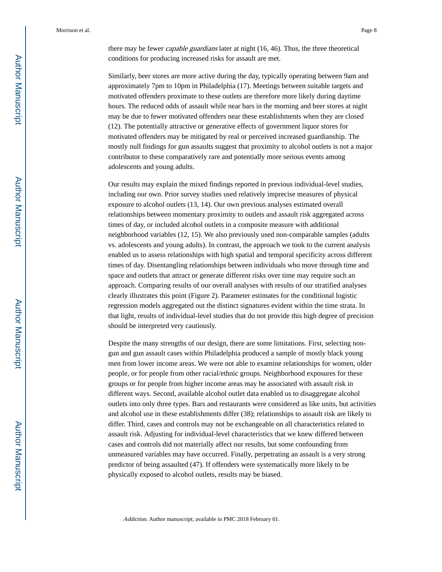there may be fewer capable guardians later at night (16, 46). Thus, the three theoretical conditions for producing increased risks for assault are met.

Similarly, beer stores are more active during the day, typically operating between 9am and approximately 7pm to 10pm in Philadelphia (17). Meetings between suitable targets and motivated offenders proximate to these outlets are therefore more likely during daytime hours. The reduced odds of assault while near bars in the morning and beer stores at night may be due to fewer motivated offenders near these establishments when they are closed (12). The potentially attractive or generative effects of government liquor stores for motivated offenders may be mitigated by real or perceived increased guardianship. The mostly null findings for gun assaults suggest that proximity to alcohol outlets is not a major contributor to these comparatively rare and potentially more serious events among adolescents and young adults.

Our results may explain the mixed findings reported in previous individual-level studies, including our own. Prior survey studies used relatively imprecise measures of physical exposure to alcohol outlets (13, 14). Our own previous analyses estimated overall relationships between momentary proximity to outlets and assault risk aggregated across times of day, or included alcohol outlets in a composite measure with additional neighborhood variables (12, 15). We also previously used non-comparable samples (adults vs. adolescents and young adults). In contrast, the approach we took to the current analysis enabled us to assess relationships with high spatial and temporal specificity across different times of day. Disentangling relationships between individuals who move through time and space and outlets that attract or generate different risks over time may require such an approach. Comparing results of our overall analyses with results of our stratified analyses clearly illustrates this point (Figure 2). Parameter estimates for the conditional logistic regression models aggregated out the distinct signatures evident within the time strata. In that light, results of individual-level studies that do not provide this high degree of precision should be interpreted very cautiously.

Despite the many strengths of our design, there are some limitations. First, selecting nongun and gun assault cases within Philadelphia produced a sample of mostly black young men from lower income areas. We were not able to examine relationships for women, older people, or for people from other racial/ethnic groups. Neighborhood exposures for these groups or for people from higher income areas may be associated with assault risk in different ways. Second, available alcohol outlet data enabled us to disaggregate alcohol outlets into only three types. Bars and restaurants were considered as like units, but activities and alcohol use in these establishments differ (38); relationships to assault risk are likely to differ. Third, cases and controls may not be exchangeable on all characteristics related to assault risk. Adjusting for individual-level characteristics that we knew differed between cases and controls did not materially affect our results, but some confounding from unmeasured variables may have occurred. Finally, perpetrating an assault is a very strong predictor of being assaulted (47). If offenders were systematically more likely to be physically exposed to alcohol outlets, results may be biased.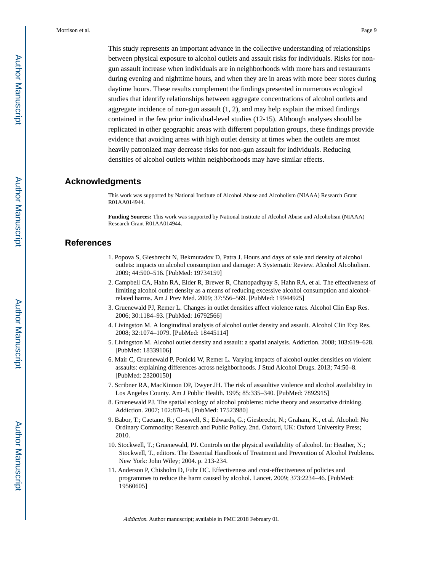This study represents an important advance in the collective understanding of relationships between physical exposure to alcohol outlets and assault risks for individuals. Risks for nongun assault increase when individuals are in neighborhoods with more bars and restaurants during evening and nighttime hours, and when they are in areas with more beer stores during daytime hours. These results complement the findings presented in numerous ecological studies that identify relationships between aggregate concentrations of alcohol outlets and aggregate incidence of non-gun assault (1, 2), and may help explain the mixed findings contained in the few prior individual-level studies (12-15). Although analyses should be replicated in other geographic areas with different population groups, these findings provide evidence that avoiding areas with high outlet density at times when the outlets are most heavily patronized may decrease risks for non-gun assault for individuals. Reducing densities of alcohol outlets within neighborhoods may have similar effects.

#### **Acknowledgments**

This work was supported by National Institute of Alcohol Abuse and Alcoholism (NIAAA) Research Grant R01AA014944.

**Funding Sources:** This work was supported by National Institute of Alcohol Abuse and Alcoholism (NIAAA) Research Grant R01AA014944.

#### **References**

- 1. Popova S, Giesbrecht N, Bekmuradov D, Patra J. Hours and days of sale and density of alcohol outlets: impacts on alcohol consumption and damage: A Systematic Review. Alcohol Alcoholism. 2009; 44:500–516. [PubMed: 19734159]
- 2. Campbell CA, Hahn RA, Elder R, Brewer R, Chattopadhyay S, Hahn RA, et al. The effectiveness of limiting alcohol outlet density as a means of reducing excessive alcohol consumption and alcoholrelated harms. Am J Prev Med. 2009; 37:556–569. [PubMed: 19944925]
- 3. Gruenewald PJ, Remer L. Changes in outlet densities affect violence rates. Alcohol Clin Exp Res. 2006; 30:1184–93. [PubMed: 16792566]
- 4. Livingston M. A longitudinal analysis of alcohol outlet density and assault. Alcohol Clin Exp Res. 2008; 32:1074–1079. [PubMed: 18445114]
- 5. Livingston M. Alcohol outlet density and assault: a spatial analysis. Addiction. 2008; 103:619–628. [PubMed: 18339106]
- 6. Mair C, Gruenewald P, Ponicki W, Remer L. Varying impacts of alcohol outlet densities on violent assaults: explaining differences across neighborhoods. J Stud Alcohol Drugs. 2013; 74:50–8. [PubMed: 23200150]
- 7. Scribner RA, MacKinnon DP, Dwyer JH. The risk of assaultive violence and alcohol availability in Los Angeles County. Am J Public Health. 1995; 85:335–340. [PubMed: 7892915]
- 8. Gruenewald PJ. The spatial ecology of alcohol problems: niche theory and assortative drinking. Addiction. 2007; 102:870–8. [PubMed: 17523980]
- 9. Babor, T.; Caetano, R.; Casswell, S.; Edwards, G.; Giesbrecht, N.; Graham, K., et al. Alcohol: No Ordinary Commodity: Research and Public Policy. 2nd. Oxford, UK: Oxford University Press; 2010.
- 10. Stockwell, T.; Gruenewald, PJ. Controls on the physical availability of alcohol. In: Heather, N.; Stockwell, T., editors. The Essential Handbook of Treatment and Prevention of Alcohol Problems. New York: John Wiley; 2004. p. 213-234.
- 11. Anderson P, Chisholm D, Fuhr DC. Effectiveness and cost-effectiveness of policies and programmes to reduce the harm caused by alcohol. Lancet. 2009; 373:2234–46. [PubMed: 19560605]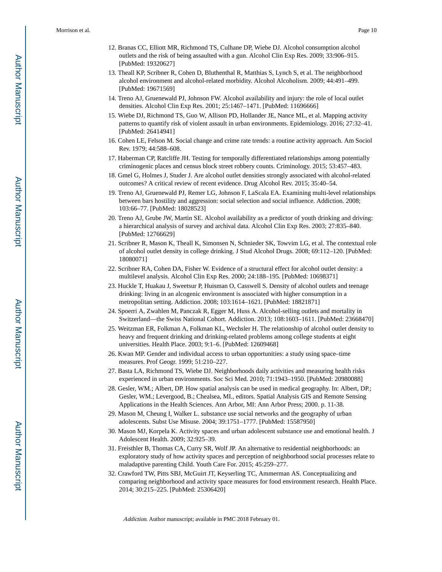- 12. Branas CC, Elliott MR, Richmond TS, Culhane DP, Wiebe DJ. Alcohol consumption alcohol outlets and the risk of being assaulted with a gun. Alcohol Clin Exp Res. 2009; 33:906–915. [PubMed: 19320627]
- 13. Theall KP, Scribner R, Cohen D, Bluthenthal R, Matthias S, Lynch S, et al. The neighborhood alcohol environment and alcohol-related morbidity. Alcohol Alcoholism. 2009; 44:491–499. [PubMed: 19671569]
- 14. Treno AJ, Gruenewald PJ, Johnson FW. Alcohol availability and injury: the role of local outlet densities. Alcohol Clin Exp Res. 2001; 25:1467–1471. [PubMed: 11696666]
- 15. Wiebe DJ, Richmond TS, Guo W, Allison PD, Hollander JE, Nance ML, et al. Mapping activity patterns to quantify risk of violent assault in urban environments. Epidemiology. 2016; 27:32–41. [PubMed: 26414941]
- 16. Cohen LE, Felson M. Social change and crime rate trends: a routine activity approach. Am Sociol Rev. 1979; 44:588–608.
- 17. Haberman CP, Ratcliffe JH. Testing for temporally differentiated relationships among potentially criminogenic places and census block street robbery counts. Criminology. 2015; 53:457–483.
- 18. Gmel G, Holmes J, Studer J. Are alcohol outlet densities strongly associated with alcohol-related outcomes? A critical review of recent evidence. Drug Alcohol Rev. 2015; 35:40–54.
- 19. Treno AJ, Gruenewald PJ, Remer LG, Johnson F, LaScala EA. Examining multi-level relationships between bars hostility and aggression: social selection and social influence. Addiction. 2008; 103:66–77. [PubMed: 18028523]
- 20. Treno AJ, Grube JW, Martin SE. Alcohol availability as a predictor of youth drinking and driving: a hierarchical analysis of survey and archival data. Alcohol Clin Exp Res. 2003; 27:835–840. [PubMed: 12766629]
- 21. Scribner R, Mason K, Theall K, Simonsen N, Schnieder SK, Towvim LG, et al. The contextual role of alcohol outlet density in college drinking. J Stud Alcohol Drugs. 2008; 69:112–120. [PubMed: 18080071]
- 22. Scribner RA, Cohen DA, Fisher W. Evidence of a structural effect for alcohol outlet density: a multilevel analysis. Alcohol Clin Exp Res. 2000; 24:188–195. [PubMed: 10698371]
- 23. Huckle T, Huakau J, Sweetsur P, Huisman O, Casswell S. Density of alcohol outlets and teenage drinking: living in an alcogenic environment is associated with higher consumption in a metropolitan setting. Addiction. 2008; 103:1614–1621. [PubMed: 18821871]
- 24. Spoerri A, Zwahlen M, Panczak R, Egger M, Huss A. Alcohol-selling outlets and mortality in Switzerland—the Swiss National Cohort. Addiction. 2013; 108:1603–1611. [PubMed: 23668470]
- 25. Weitzman ER, Folkman A, Folkman KL, Wechsler H. The relationship of alcohol outlet density to heavy and frequent drinking and drinking-related problems among college students at eight universities. Health Place. 2003; 9:1–6. [PubMed: 12609468]
- 26. Kwan MP. Gender and individual access to urban opportunities: a study using space–time measures. Prof Geogr. 1999; 51:210–227.
- 27. Basta LA, Richmond TS, Wiebe DJ. Neighborhoods daily activities and measuring health risks experienced in urban environments. Soc Sci Med. 2010; 71:1943–1950. [PubMed: 20980088]
- 28. Gesler, WM.; Albert, DP. How spatial analysis can be used in medical geography. In: Albert, DP.; Gesler, WM.; Levergood, B.; Chealsea, MI., editors. Spatial Analysis GIS and Remote Sensing Applications in the Health Sciences. Ann Arbor, MI: Ann Arbor Press; 2000. p. 11-38.
- 29. Mason M, Cheung I, Walker L. substance use social networks and the geography of urban adolescents. Subst Use Misuse. 2004; 39:1751–1777. [PubMed: 15587950]
- 30. Mason MJ, Korpela K. Activity spaces and urban adolescent substance use and emotional health. J Adolescent Health. 2009; 32:925–39.
- 31. Freisthler B, Thomas CA, Curry SR, Wolf JP. An alternative to residential neighborhoods: an exploratory study of how activity spaces and perception of neighborhood social processes relate to maladaptive parenting Child. Youth Care For. 2015; 45:259–277.
- 32. Crawford TW, Pitts SBJ, McGuirt JT, Keyserling TC, Ammerman AS. Conceptualizing and comparing neighborhood and activity space measures for food environment research. Health Place. 2014; 30:215–225. [PubMed: 25306420]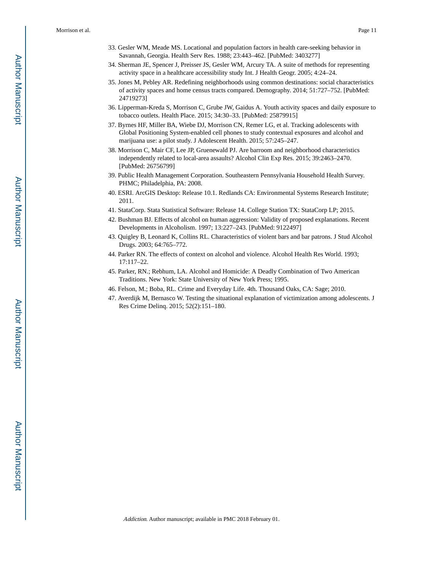- 33. Gesler WM, Meade MS. Locational and population factors in health care-seeking behavior in Savannah, Georgia. Health Serv Res. 1988; 23:443–462. [PubMed: 3403277]
- 34. Sherman JE, Spencer J, Preisser JS, Gesler WM, Arcury TA. A suite of methods for representing activity space in a healthcare accessibility study Int. J Health Geogr. 2005; 4:24–24.
- 35. Jones M, Pebley AR. Redefining neighborhoods using common destinations: social characteristics of activity spaces and home census tracts compared. Demography. 2014; 51:727–752. [PubMed: 24719273]
- 36. Lipperman-Kreda S, Morrison C, Grube JW, Gaidus A. Youth activity spaces and daily exposure to tobacco outlets. Health Place. 2015; 34:30–33. [PubMed: 25879915]
- 37. Byrnes HF, Miller BA, Wiebe DJ, Morrison CN, Remer LG, et al. Tracking adolescents with Global Positioning System-enabled cell phones to study contextual exposures and alcohol and marijuana use: a pilot study. J Adolescent Health. 2015; 57:245–247.
- 38. Morrison C, Mair CF, Lee JP, Gruenewald PJ. Are barroom and neighborhood characteristics independently related to local-area assaults? Alcohol Clin Exp Res. 2015; 39:2463–2470. [PubMed: 26756799]
- 39. Public Health Management Corporation. Southeastern Pennsylvania Household Health Survey. PHMC; Philadelphia, PA: 2008.
- 40. ESRI. ArcGIS Desktop: Release 10.1. Redlands CA: Environmental Systems Research Institute; 2011.
- 41. StataCorp. Stata Statistical Software: Release 14. College Station TX: StataCorp LP; 2015.
- 42. Bushman BJ. Effects of alcohol on human aggression: Validity of proposed explanations. Recent Developments in Alcoholism. 1997; 13:227–243. [PubMed: 9122497]
- 43. Quigley B, Leonard K, Collins RL. Characteristics of violent bars and bar patrons. J Stud Alcohol Drugs. 2003; 64:765–772.
- 44. Parker RN. The effects of context on alcohol and violence. Alcohol Health Res World. 1993; 17:117–22.
- 45. Parker, RN.; Rebhum, LA. Alcohol and Homicide: A Deadly Combination of Two American Traditions. New York: State University of New York Press; 1995.
- 46. Felson, M.; Boba, RL. Crime and Everyday Life. 4th. Thousand Oaks, CA: Sage; 2010.
- 47. Averdijk M, Bernasco W. Testing the situational explanation of victimization among adolescents. J Res Crime Delinq. 2015; 52(2):151–180.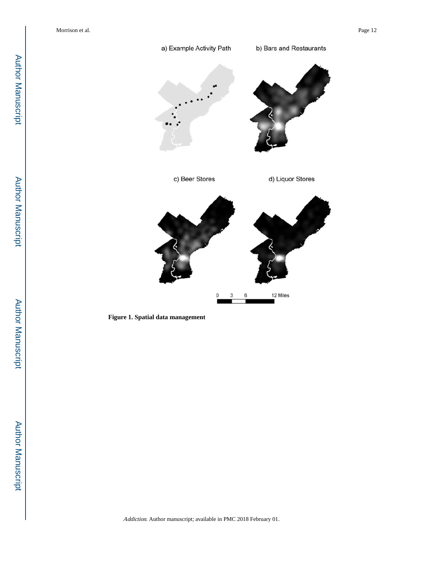

**Figure 1. Spatial data management**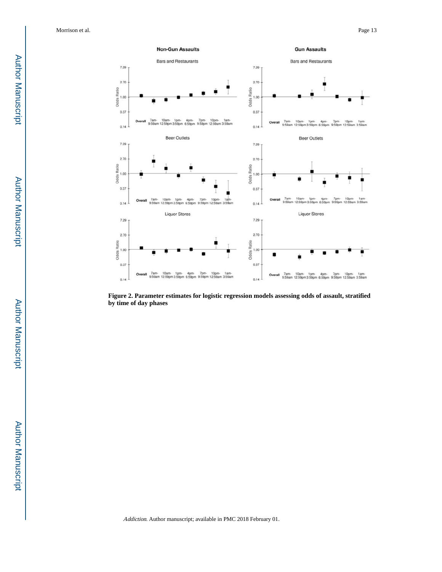

**Figure 2. Parameter estimates for logistic regression models assessing odds of assault, stratified by time of day phases**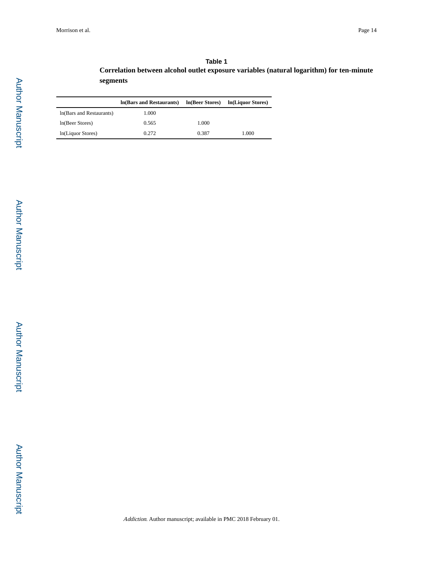| Table 1                                                                                  |
|------------------------------------------------------------------------------------------|
| Correlation between alcohol outlet exposure variables (natural logarithm) for ten-minute |
| segments                                                                                 |

|                           | In (Bars and Restaurants) | In(Beer Stores) | In(Liquor Stores) |
|---------------------------|---------------------------|-----------------|-------------------|
| In (Bars and Restaurants) | 1.000                     |                 |                   |
| ln(Beer Stores)           | 0.565                     | 1.000           |                   |
| In(Liquor Stores)         | 0.272                     | 0.387           | 1.000             |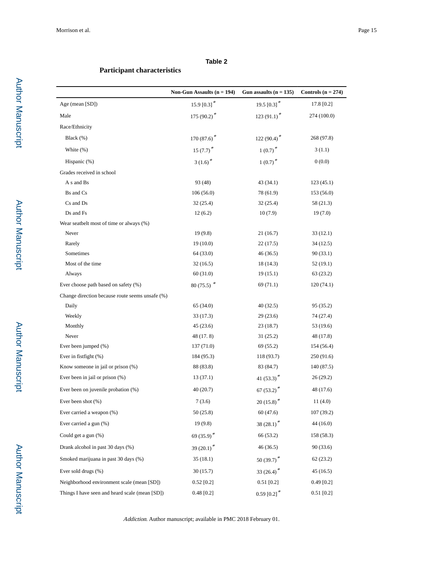#### **Table 2**

#### **Participant characteristics**

|                                                 | Non-Gun Assaults $(n = 194)$ | Gun assaults $(n = 135)$  | Controls $(n = 274)$ |
|-------------------------------------------------|------------------------------|---------------------------|----------------------|
| Age (mean [SD])                                 | 15.9 [0.3] $*$               | 19.5 $[0.3]$ <sup>*</sup> | 17.8 [0.2]           |
| Male                                            | 175 (90.2)*                  | $123(91.1)^*$             | 274 (100.0)          |
| Race/Ethnicity                                  |                              |                           |                      |
| Black (%)                                       | $170(87.6)^*$                | 122 (90.4) <sup>*</sup>   | 268 (97.8)           |
| White $(\%)$                                    | 15 $(7.7)^*$                 | $1(0.7)$ *                | 3(1.1)               |
| Hispanic (%)                                    | $3(1.6)^*$                   | $1(0.7)$ <sup>*</sup>     | 0(0.0)               |
| Grades received in school                       |                              |                           |                      |
| A s and Bs                                      | 93 (48)                      | 43 (34.1)                 | 123(45.1)            |
| Bs and Cs                                       | 106(56.0)                    | 78 (61.9)                 | 153(56.0)            |
| Cs and Ds                                       | 32 (25.4)                    | 32 (25.4)                 | 58 (21.3)            |
| Ds and Fs                                       | 12(6.2)                      | 10(7.9)                   | 19(7.0)              |
| Wear seatbelt most of time or always (%)        |                              |                           |                      |
| Never                                           | 19(9.8)                      | 21 (16.7)                 | 33(12.1)             |
| Rarely                                          | 19(10.0)                     | 22 (17.5)                 | 34 (12.5)            |
| Sometimes                                       | 64 (33.0)                    | 46 (36.5)                 | 90 (33.1)            |
| Most of the time                                | 32(16.5)                     | 18 (14.3)                 | 52 (19.1)            |
| Always                                          | 60 (31.0)                    | 19(15.1)                  | 63 (23.2)            |
| Ever choose path based on safety (%)            | 80 (75.5) $*$                | 69 (71.1)                 | 120(74.1)            |
| Change direction because route seems unsafe (%) |                              |                           |                      |
| Daily                                           | 65 (34.0)                    | 40 (32.5)                 | 95 (35.2)            |
| Weekly                                          | 33 (17.3)                    | 29 (23.6)                 | 74 (27.4)            |
| Monthly                                         | 45(23.6)                     | 23 (18.7)                 | 53 (19.6)            |
| Never                                           | 48 (17.8)                    | 31 (25.2)                 | 48 (17.8)            |
| Ever been jumped (%)                            | 137 (71.0)                   | 69 (55.2)                 | 154 (56.4)           |
| Ever in fistfight (%)                           | 184 (95.3)                   | 118 (93.7)                | 250 (91.6)           |
| Know someone in jail or prison (%)              | 88 (83.8)                    | 83 (84.7)                 | 140 (87.5)           |
| Ever been in jail or prison (%)                 | 13 (37.1)                    | 41 $(53.3)^*$             | 26 (29.2)            |
| Ever been on juvenile probation (%)             | 40(20.7)                     | 67 $(53.2)^*$             | 48 (17.6)            |
| Ever been shot $(\%)$                           | 7(3.6)                       | $20(15.8)^*$              | 11(4.0)              |
| Ever carried a weapon (%)                       | 50(25.8)                     | 60(47.6)                  | 107 (39.2)           |
| Ever carried a gun (%)                          | 19(9.8)                      | 38 (28.1) <sup>*</sup>    | 44 (16.0)            |
| Could get a gun (%)                             | 69 (35.9)*                   | 66 (53.2)                 | 158 (58.3)           |
| Drank alcohol in past 30 days (%)               | 39 (20.1) <sup>*</sup>       | 46 (36.5)                 | 90 (33.6)            |
| Smoked marijuana in past 30 days (%)            | 35(18.1)                     | 50 (39.7) $*$             | 62(23.2)             |
| Ever sold drugs (%)                             | 30(15.7)                     | 33 (26.4) $*$             | 45 (16.5)            |
| Neighborhood environment scale (mean [SD])      | $0.52$ [0.2]                 | $0.51$ [0.2]              | $0.49$ [0.2]         |
| Things I have seen and heard scale (mean [SD])  | $0.48$ [0.2]                 | $0.59$ [0.2]*             | $0.51$ [0.2]         |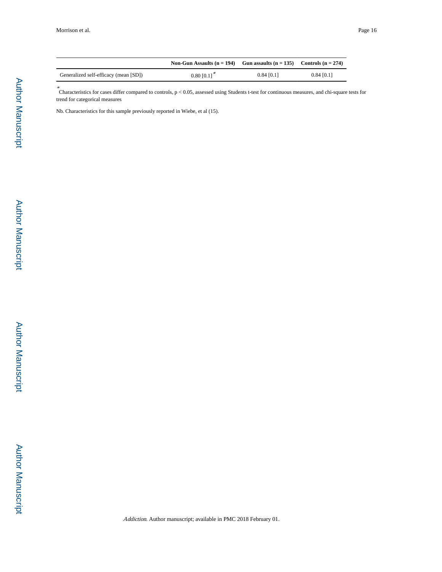|                                       | Non-Gun Assaults $(n = 194)$ Gun assaults $(n = 135)$ Controls $(n = 274)$ |               |               |
|---------------------------------------|----------------------------------------------------------------------------|---------------|---------------|
| Generalized self-efficacy (mean [SD]) | $0.80$ $[0.1]$ <sup>*</sup>                                                | $0.84\ 10.11$ | $0.84\ 10.11$ |

\* Characteristics for cases differ compared to controls, p < 0.05, assessed using Students t-test for continuous measures, and chi-square tests for trend for categorical measures

Nb. Characteristics for this sample previously reported in Wiebe, et al (15).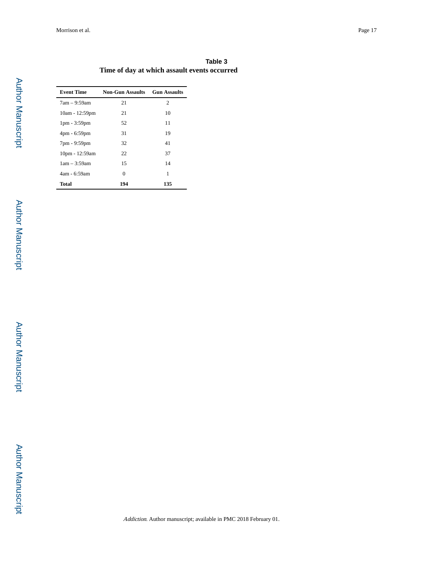|                                              |  | Table 3 |
|----------------------------------------------|--|---------|
| Time of day at which assault events occurred |  |         |

| <b>Event Time</b> | Non-Gun Assaults | <b>Gun Assaults</b> |
|-------------------|------------------|---------------------|
| $7am - 9:59am$    | 21               | 2                   |
| 10am - 12:59pm    | 21               | 10                  |
| $1pm - 3:59pm$    | 52               | 11                  |
| 4pm - 6:59pm      | 31               | 19                  |
| 7pm - 9:59pm      | 32               | 41                  |
| 10pm - 12:59am    | 22               | 37                  |
| $1am - 3:59am$    | 15               | 14                  |
| 4am - 6:59am      | $\Omega$         | 1                   |
| <b>Total</b>      | 194              | 135                 |